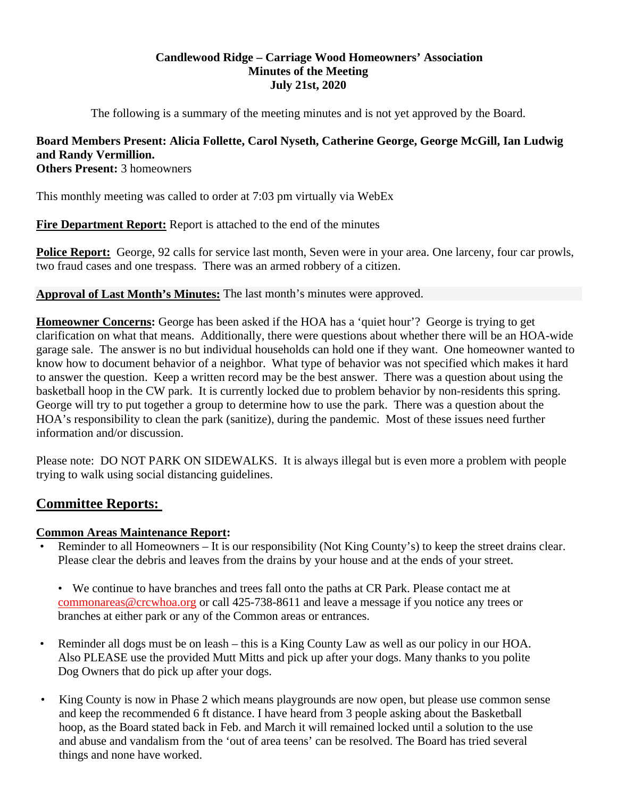# **Candlewood Ridge – Carriage Wood Homeowners' Association Minutes of the Meeting July 21st, 2020**

The following is a summary of the meeting minutes and is not yet approved by the Board.

# **Board Members Present: Alicia Follette, Carol Nyseth, Catherine George, George McGill, Ian Ludwig and Randy Vermillion.**

**Others Present:** 3 homeowners

This monthly meeting was called to order at 7:03 pm virtually via WebEx

**Fire Department Report:** Report is attached to the end of the minutes

**Police Report:** George, 92 calls for service last month, Seven were in your area. One larceny, four car prowls, two fraud cases and one trespass. There was an armed robbery of a citizen.

# **Approval of Last Month's Minutes:** The last month's minutes were approved.

**Homeowner Concerns:** George has been asked if the HOA has a 'quiet hour'? George is trying to get clarification on what that means. Additionally, there were questions about whether there will be an HOA-wide garage sale. The answer is no but individual households can hold one if they want. One homeowner wanted to know how to document behavior of a neighbor. What type of behavior was not specified which makes it hard to answer the question. Keep a written record may be the best answer. There was a question about using the basketball hoop in the CW park. It is currently locked due to problem behavior by non-residents this spring. George will try to put together a group to determine how to use the park. There was a question about the HOA's responsibility to clean the park (sanitize), during the pandemic. Most of these issues need further information and/or discussion.

Please note: DO NOT PARK ON SIDEWALKS. It is always illegal but is even more a problem with people trying to walk using social distancing guidelines.

# **Committee Reports:**

# **Common Areas Maintenance Report:**

• Reminder to all Homeowners – It is our responsibility (Not King County's) to keep the street drains clear. Please clear the debris and leaves from the drains by your house and at the ends of your street.

• We continue to have branches and trees fall onto the paths at CR Park. Please contact me at commonareas@crcwhoa.org or call 425-738-8611 and leave a message if you notice any trees or branches at either park or any of the Common areas or entrances.

- Reminder all dogs must be on leash this is a King County Law as well as our policy in our HOA. Also PLEASE use the provided Mutt Mitts and pick up after your dogs. Many thanks to you polite Dog Owners that do pick up after your dogs.
- King County is now in Phase 2 which means playgrounds are now open, but please use common sense and keep the recommended 6 ft distance. I have heard from 3 people asking about the Basketball hoop, as the Board stated back in Feb. and March it will remained locked until a solution to the use and abuse and vandalism from the 'out of area teens' can be resolved. The Board has tried several things and none have worked.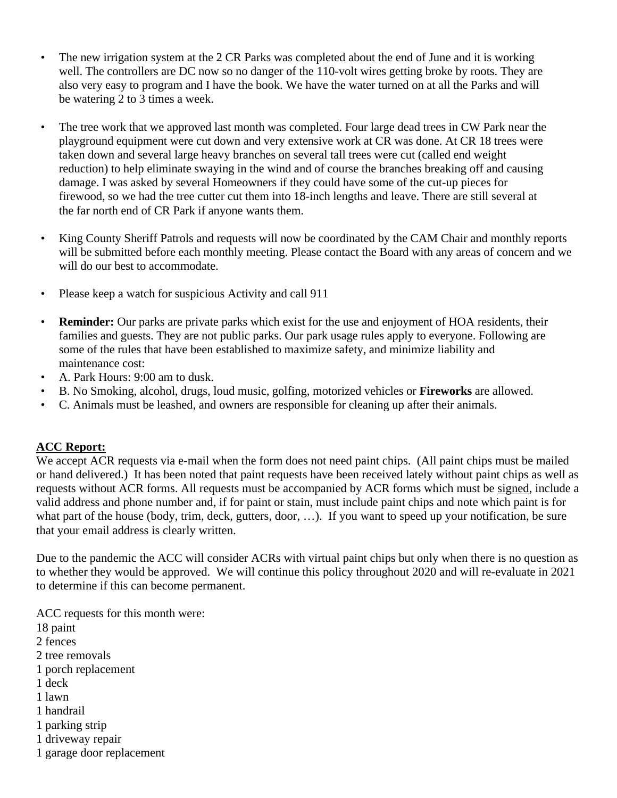- The new irrigation system at the 2 CR Parks was completed about the end of June and it is working well. The controllers are DC now so no danger of the 110-volt wires getting broke by roots. They are also very easy to program and I have the book. We have the water turned on at all the Parks and will be watering 2 to 3 times a week.
- The tree work that we approved last month was completed. Four large dead trees in CW Park near the playground equipment were cut down and very extensive work at CR was done. At CR 18 trees were taken down and several large heavy branches on several tall trees were cut (called end weight reduction) to help eliminate swaying in the wind and of course the branches breaking off and causing damage. I was asked by several Homeowners if they could have some of the cut-up pieces for firewood, so we had the tree cutter cut them into 18-inch lengths and leave. There are still several at the far north end of CR Park if anyone wants them.
- King County Sheriff Patrols and requests will now be coordinated by the CAM Chair and monthly reports will be submitted before each monthly meeting. Please contact the Board with any areas of concern and we will do our best to accommodate.
- Please keep a watch for suspicious Activity and call 911
- **Reminder:** Our parks are private parks which exist for the use and enjoyment of HOA residents, their families and guests. They are not public parks. Our park usage rules apply to everyone. Following are some of the rules that have been established to maximize safety, and minimize liability and maintenance cost:
- A. Park Hours: 9:00 am to dusk.
- B. No Smoking, alcohol, drugs, loud music, golfing, motorized vehicles or **Fireworks** are allowed.
- C. Animals must be leashed, and owners are responsible for cleaning up after their animals.

# **ACC Report:**

We accept ACR requests via e-mail when the form does not need paint chips. (All paint chips must be mailed or hand delivered.) It has been noted that paint requests have been received lately without paint chips as well as requests without ACR forms. All requests must be accompanied by ACR forms which must be signed, include a valid address and phone number and, if for paint or stain, must include paint chips and note which paint is for what part of the house (body, trim, deck, gutters, door, ...). If you want to speed up your notification, be sure that your email address is clearly written.

Due to the pandemic the ACC will consider ACRs with virtual paint chips but only when there is no question as to whether they would be approved. We will continue this policy throughout 2020 and will re-evaluate in 2021 to determine if this can become permanent.

ACC requests for this month were:

- 18 paint
- 2 fences
- 2 tree removals
- 1 porch replacement
- 1 deck
- 1 lawn
- 1 handrail
- 1 parking strip
- 1 driveway repair
- 1 garage door replacement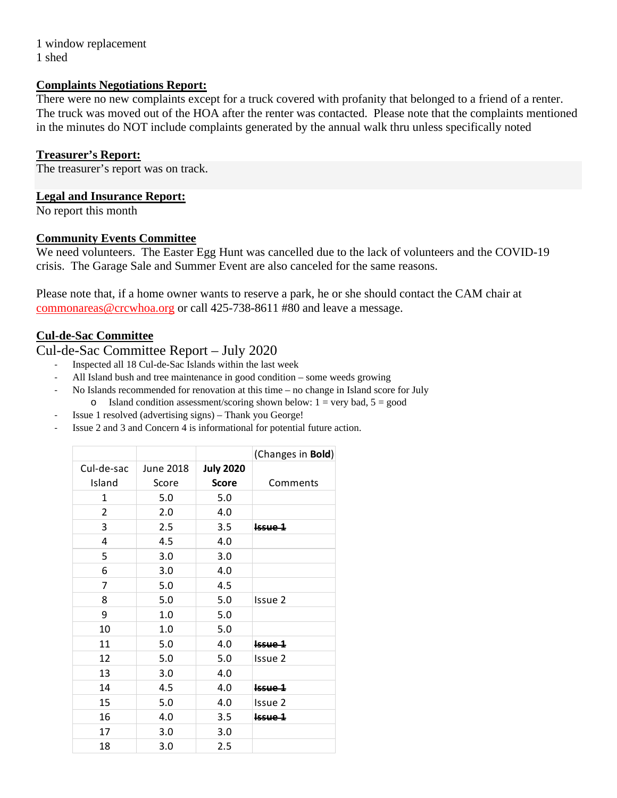1 window replacement 1 shed

## **Complaints Negotiations Report:**

There were no new complaints except for a truck covered with profanity that belonged to a friend of a renter. The truck was moved out of the HOA after the renter was contacted. Please note that the complaints mentioned in the minutes do NOT include complaints generated by the annual walk thru unless specifically noted

# **Treasurer's Report:**

The treasurer's report was on track.

# **Legal and Insurance Report:**

No report this month

# **Community Events Committee**

We need volunteers. The Easter Egg Hunt was cancelled due to the lack of volunteers and the COVID-19 crisis. The Garage Sale and Summer Event are also canceled for the same reasons.

Please note that, if a home owner wants to reserve a park, he or she should contact the CAM chair at commonareas@crcwhoa.org or call 425-738-8611 #80 and leave a message.

# **Cul-de-Sac Committee**

# Cul-de-Sac Committee Report – July 2020

- ‐ Inspected all 18 Cul-de-Sac Islands within the last week
- All Island bush and tree maintenance in good condition some weeds growing
- No Islands recommended for renovation at this time no change in Island score for July o Island condition assessment/scoring shown below:  $1 = \text{very bad}, 5 = \text{good}$
- ‐ Issue 1 resolved (advertising signs) Thank you George!
- ‐ Issue 2 and 3 and Concern 4 is informational for potential future action.

|                |                  |                  | (Changes in Bold) |
|----------------|------------------|------------------|-------------------|
| Cul-de-sac     | <b>June 2018</b> | <b>July 2020</b> |                   |
| Island         | Score            | <b>Score</b>     | Comments          |
| $\mathbf{1}$   | 5.0              | 5.0              |                   |
| $\overline{2}$ | 2.0              | 4.0              |                   |
| 3              | 2.5              | 3.5              | <b>Issue 1</b>    |
| 4              | 4.5              | 4.0              |                   |
| 5              | 3.0              | 3.0              |                   |
| 6              | 3.0              | 4.0              |                   |
| 7              | 5.0              | 4.5              |                   |
| 8              | 5.0              | 5.0              | Issue 2           |
| 9              | 1.0              | 5.0              |                   |
| 10             | 1.0              | 5.0              |                   |
| 11             | 5.0              | 4.0              | $lssue 1$         |
| 12             | 5.0              | 5.0              | Issue 2           |
| 13             | 3.0              | 4.0              |                   |
| 14             | 4.5              | 4.0              | $lsource 1$       |
| 15             | 5.0              | 4.0              | Issue 2           |
| 16             | 4.0              | 3.5              | Issue 1           |
| 17             | 3.0              | 3.0              |                   |
| 18             | 3.0              | 2.5              |                   |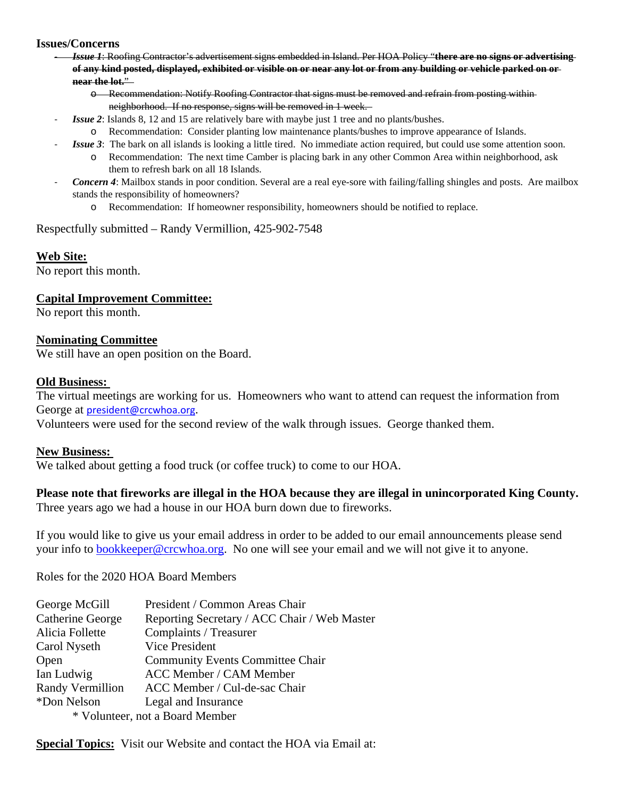## **Issues/Concerns**

‐ *Issue 1*: Roofing Contractor's advertisement signs embedded in Island. Per HOA Policy "**there are no signs or advertising of any kind posted, displayed, exhibited or visible on or near any lot or from any building or vehicle parked on or near the lot.**"

o Recommendation: Notify Roofing Contractor that signs must be removed and refrain from posting within neighborhood. If no response, signs will be removed in 1 week.

- ‐ *Issue 2*: Islands 8, 12 and 15 are relatively bare with maybe just 1 tree and no plants/bushes.
	- o Recommendation: Consider planting low maintenance plants/bushes to improve appearance of Islands.
	- **Issue 3**: The bark on all islands is looking a little tired. No immediate action required, but could use some attention soon.
		- o Recommendation: The next time Camber is placing bark in any other Common Area within neighborhood, ask them to refresh bark on all 18 Islands.
- *Concern 4*: Mailbox stands in poor condition. Several are a real eye-sore with failing/falling shingles and posts. Are mailbox stands the responsibility of homeowners?
	- o Recommendation: If homeowner responsibility, homeowners should be notified to replace.

#### Respectfully submitted – Randy Vermillion, 425-902-7548

## **Web Site:**

No report this month.

## **Capital Improvement Committee:**

No report this month.

## **Nominating Committee**

We still have an open position on the Board.

## **Old Business:**

The virtual meetings are working for us. Homeowners who want to attend can request the information from George at president@crcwhoa.org.

Volunteers were used for the second review of the walk through issues. George thanked them.

#### **New Business:**

We talked about getting a food truck (or coffee truck) to come to our HOA.

# **Please note that fireworks are illegal in the HOA because they are illegal in unincorporated King County.**

Three years ago we had a house in our HOA burn down due to fireworks.

If you would like to give us your email address in order to be added to our email announcements please send your info to bookkeeper@crcwhoa.org. No one will see your email and we will not give it to anyone.

Roles for the 2020 HOA Board Members

| George McGill                   | President / Common Areas Chair               |  |
|---------------------------------|----------------------------------------------|--|
| Catherine George                | Reporting Secretary / ACC Chair / Web Master |  |
| Alicia Follette                 | Complaints / Treasurer                       |  |
| Carol Nyseth                    | Vice President                               |  |
| Open                            | <b>Community Events Committee Chair</b>      |  |
| Ian Ludwig                      | <b>ACC Member / CAM Member</b>               |  |
| Randy Vermillion                | ACC Member / Cul-de-sac Chair                |  |
| *Don Nelson                     | Legal and Insurance                          |  |
| * Volunteer, not a Board Member |                                              |  |

**Special Topics:** Visit our Website and contact the HOA via Email at: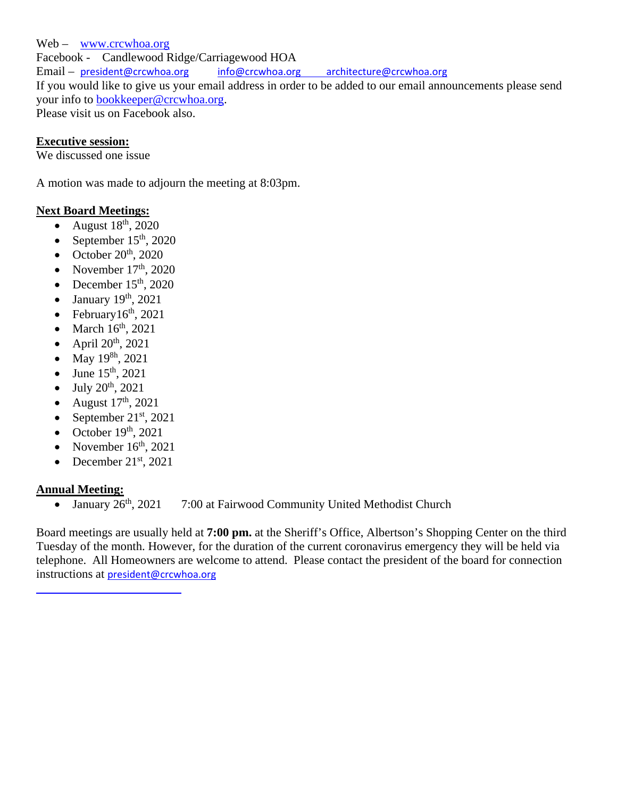Web – www.crcwhoa.org Facebook - Candlewood Ridge/Carriagewood HOA Email – president@crcwhoa.org info@crcwhoa.org architecture@crcwhoa.org If you would like to give us your email address in order to be added to our email announcements please send your info to bookkeeper@crcwhoa.org. Please visit us on Facebook also.

# **Executive session:**

We discussed one issue

A motion was made to adjourn the meeting at 8:03pm.

# **Next Board Meetings:**

- August  $18<sup>th</sup>$ , 2020
- September  $15<sup>th</sup>$ , 2020
- October  $20^{th}$ ,  $2020$
- November  $17<sup>th</sup>$ , 2020
- December  $15<sup>th</sup>$ , 2020
- January 19<sup>th</sup>, 2021
- February $16<sup>th</sup>$ , 2021
- $\bullet$  March  $16^{th}$ , 2021
- $\bullet$  April 20<sup>th</sup>, 2021
- May  $19^{8h}$ , 2021
- June  $15^{th}$ , 2021
- July 20th, 2021
- August  $17<sup>th</sup>$ , 2021
- September  $21^{st}$ , 2021
- October  $19<sup>th</sup>$ , 2021
- November  $16<sup>th</sup>$ , 2021
- December  $21<sup>st</sup>$ , 2021

<u> 1990 - Johann Barn, mars eta bainar eta idazlea (</u>

# **Annual Meeting:**

• January  $26<sup>th</sup>$ , 2021 7:00 at Fairwood Community United Methodist Church

Board meetings are usually held at **7:00 pm.** at the Sheriff's Office, Albertson's Shopping Center on the third Tuesday of the month. However, for the duration of the current coronavirus emergency they will be held via telephone. All Homeowners are welcome to attend. Please contact the president of the board for connection instructions at president@crcwhoa.org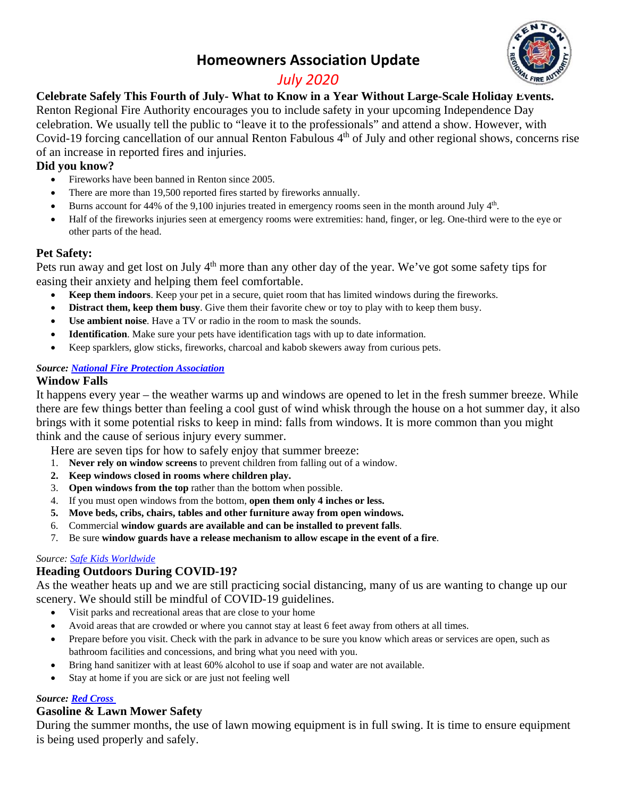# **Homeowners Association Update**



# *July 2020*

**Celebrate Safely This Fourth of July- What to Know in a Year Without Large-Scale Holiday Events.**  Renton Regional Fire Authority encourages you to include safety in your upcoming Independence Day celebration. We usually tell the public to "leave it to the professionals" and attend a show. However, with Covid-19 forcing cancellation of our annual Renton Fabulous 4<sup>th</sup> of July and other regional shows, concerns rise

of an increase in reported fires and injuries.

# **Did you know?**

- Fireworks have been banned in Renton since 2005.
- There are more than 19,500 reported fires started by fireworks annually.
- Burns account for 44% of the 9,100 injuries treated in emergency rooms seen in the month around July  $4<sup>th</sup>$ .
- Half of the fireworks injuries seen at emergency rooms were extremities: hand, finger, or leg. One-third were to the eye or other parts of the head.

# **Pet Safety:**

Pets run away and get lost on July 4<sup>th</sup> more than any other day of the year. We've got some safety tips for easing their anxiety and helping them feel comfortable.

- **Keep them indoors**. Keep your pet in a secure, quiet room that has limited windows during the fireworks.
- **Distract them, keep them busy**. Give them their favorite chew or toy to play with to keep them busy.
- **Use ambient noise**. Have a TV or radio in the room to mask the sounds.
- **Identification**. Make sure your pets have identification tags with up to date information.
- Keep sparklers, glow sticks, fireworks, charcoal and kabob skewers away from curious pets.

# *Source: National Fire Protection Association*

# **Window Falls**

It happens every year – the weather warms up and windows are opened to let in the fresh summer breeze. While there are few things better than feeling a cool gust of wind whisk through the house on a hot summer day, it also brings with it some potential risks to keep in mind: falls from windows. It is more common than you might think and the cause of serious injury every summer.

Here are seven tips for how to safely enjoy that summer breeze:

- 1. **Never rely on window screens** to prevent children from falling out of a window.
- **2. Keep windows closed in rooms where children play.**
- 3. **Open windows from the top** rather than the bottom when possible.
- 4. If you must open windows from the bottom, **open them only 4 inches or less.**
- **5. Move beds, cribs, chairs, tables and other furniture away from open windows.**
- 6. Commercial **window guards are available and can be installed to prevent falls**.
- 7. Be sure **window guards have a release mechanism to allow escape in the event of a fire**.

#### *Source: Safe Kids Worldwide*

# **Heading Outdoors During COVID-19?**

As the weather heats up and we are still practicing social distancing, many of us are wanting to change up our scenery. We should still be mindful of COVID-19 guidelines.

- Visit parks and recreational areas that are close to your home
- Avoid areas that are crowded or where you cannot stay at least 6 feet away from others at all times.
- Prepare before you visit. Check with the park in advance to be sure you know which areas or services are open, such as bathroom facilities and concessions, and bring what you need with you.
- Bring hand sanitizer with at least 60% alcohol to use if soap and water are not available.
- Stay at home if you are sick or are just not feeling well

# *Source: Red Cross*

# **Gasoline & Lawn Mower Safety**

During the summer months, the use of lawn mowing equipment is in full swing. It is time to ensure equipment is being used properly and safely.